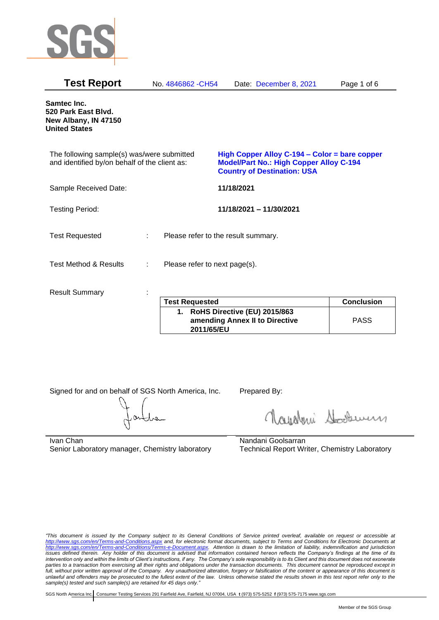

| <b>Test Report</b>                                                                          |    | No. 4846862 - CH54                  |            | Date: December 8, 2021                                                                                                                | Page 1 of 6       |
|---------------------------------------------------------------------------------------------|----|-------------------------------------|------------|---------------------------------------------------------------------------------------------------------------------------------------|-------------------|
| Samtec Inc.<br>520 Park East Blvd.<br>New Albany, IN 47150<br><b>United States</b>          |    |                                     |            |                                                                                                                                       |                   |
| The following sample(s) was/were submitted<br>and identified by/on behalf of the client as: |    |                                     |            | High Copper Alloy C-194 – Color = bare copper<br><b>Model/Part No.: High Copper Alloy C-194</b><br><b>Country of Destination: USA</b> |                   |
| Sample Received Date:                                                                       |    |                                     | 11/18/2021 |                                                                                                                                       |                   |
| <b>Testing Period:</b>                                                                      |    |                                     |            | 11/18/2021 - 11/30/2021                                                                                                               |                   |
| <b>Test Requested</b>                                                                       | t. | Please refer to the result summary. |            |                                                                                                                                       |                   |
| <b>Test Method &amp; Results</b>                                                            | ÷  | Please refer to next page(s).       |            |                                                                                                                                       |                   |
| <b>Result Summary</b>                                                                       |    |                                     |            |                                                                                                                                       |                   |
|                                                                                             |    | <b>Test Requested</b>               |            |                                                                                                                                       | <b>Conclusion</b> |
|                                                                                             |    |                                     | .          | $I = I I$ $A A I = I A A A$                                                                                                           |                   |

| <b>Test Requested</b>                                                           | <b>Conclusion</b> |
|---------------------------------------------------------------------------------|-------------------|
| 1. RoHS Directive (EU) 2015/863<br>amending Annex II to Directive<br>2011/65/EU | <b>PASS</b>       |

Signed for and on behalf of SGS North America, Inc. Prepared By:

Navaleni Soomun

Ivan Chan Senior Laboratory manager, Chemistry laboratory Nandani Goolsarran Technical Report Writer, Chemistry Laboratory

*"This document is issued by the Company subject to its General Conditions of Service printed overleaf, available on request or accessible at <http://www.sgs.com/en/Terms-and-Conditions.aspx> and, for electronic format documents, subject to Terms and Conditions for Electronic Documents at [http://www.sgs.com/en/Terms-and-Conditions/Terms-e-Document.aspx.](http://www.sgs.com/en/Terms-and-Conditions/Terms-e-Document.aspx) Attention is drawn to the limitation of liability, indemnification and jurisdiction issues defined therein. Any holder of this document is advised that information contained hereon reflects the Company's findings at the time of its intervention only and within the limits of Client's instructions, if any. The Company's sole responsibility is to its Client and this document does not exonerate parties to a transaction from exercising all their rights and obligations under the transaction documents. This document cannot be reproduced except in full, without prior written approval of the Company. Any unauthorized alteration, forgery or falsification of the content or appearance of this document is unlawful and offenders may be prosecuted to the fullest extent of the law. Unless otherwise stated the results shown in this test report refer only to the sample(s) tested and such sample(s) are retained for 45 days only."*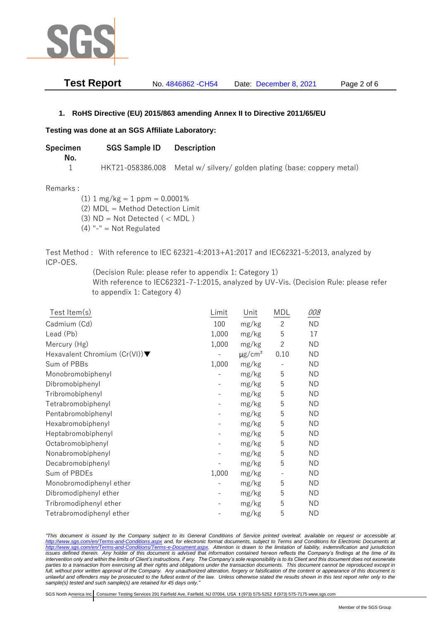

| <b>Test Report</b> | No. 4846862 - CH54 | Date: December 8, 2021 | Page 2 of 6 |
|--------------------|--------------------|------------------------|-------------|
|--------------------|--------------------|------------------------|-------------|

## **1. RoHS Directive (EU) 2015/863 amending Annex II to Directive 2011/65/EU**

## **Testing was done at an SGS Affiliate Laboratory:**

| Specimen | <b>SGS Sample ID</b> Description |                                                                         |
|----------|----------------------------------|-------------------------------------------------------------------------|
| No.      |                                  |                                                                         |
|          |                                  | HKT21-058386.008 Metal w/ silvery/ golden plating (base: coppery metal) |

## Remarks :

(1)  $1 \text{ mg/kg} = 1 \text{ ppm} = 0.0001\%$ (2) MDL = Method Detection Limit

 $(3)$  ND = Not Detected  $($  < MDL)

(4) "-" = Not Regulated

Test Method : With reference to IEC 62321-4:2013+A1:2017 and IEC62321-5:2013, analyzed by ICP-OES.

(Decision Rule: please refer to appendix 1: Category 1)

With reference to IEC62321-7-1:2015, analyzed by UV-Vis. (Decision Rule: please refer to appendix 1: Category 4)

| Test Item(s)                                     | Limit | Unit                    | MDL                      | 008       |
|--------------------------------------------------|-------|-------------------------|--------------------------|-----------|
| Cadmium (Cd)                                     | 100   | mg/kg                   | $\overline{c}$           | <b>ND</b> |
| Lead (Pb)                                        | 1,000 | mg/kg                   | 5                        | 17        |
| Mercury (Hg)                                     | 1,000 | mg/kg                   | $\overline{2}$           | ND.       |
| Hexavalent Chromium $(Cr(VI))\blacktriangledown$ |       | $\mu$ g/cm <sup>2</sup> | 0.10                     | <b>ND</b> |
| Sum of PBBs                                      | 1,000 | mg/kg                   |                          | <b>ND</b> |
| Monobromobiphenyl                                |       | mg/kg                   | 5                        | <b>ND</b> |
| Dibromobiphenyl                                  |       | mg/kg                   | 5                        | ND.       |
| Tribromobiphenyl                                 |       | mg/kg                   | 5                        | <b>ND</b> |
| Tetrabromobiphenyl                               |       | mg/kg                   | 5                        | <b>ND</b> |
| Pentabromobiphenyl                               |       | mg/kg                   | 5                        | ND        |
| Hexabromobiphenyl                                |       | mg/kg                   | 5                        | ND.       |
| Heptabromobiphenyl                               |       | mg/kg                   | 5                        | <b>ND</b> |
| Octabromobiphenyl                                |       | mg/kg                   | 5                        | <b>ND</b> |
| Nonabromobiphenyl                                |       | mg/kg                   | 5                        | <b>ND</b> |
| Decabromobiphenyl                                |       | mg/kg                   | 5                        | <b>ND</b> |
| Sum of PBDEs                                     | 1,000 | mg/kg                   | $\overline{\phantom{a}}$ | <b>ND</b> |
| Monobromodiphenyl ether                          |       | mg/kg                   | 5                        | <b>ND</b> |
| Dibromodiphenyl ether                            |       | mg/kg                   | 5                        | ND.       |
| Tribromodiphenyl ether                           |       | mg/kg                   | 5                        | ND        |
| Tetrabromodiphenyl ether                         |       | mg/kg                   | 5                        | <b>ND</b> |

*"This document is issued by the Company subject to its General Conditions of Service printed overleaf, available on request or accessible at <http://www.sgs.com/en/Terms-and-Conditions.aspx> and, for electronic format documents, subject to Terms and Conditions for Electronic Documents at [http://www.sgs.com/en/Terms-and-Conditions/Terms-e-Document.aspx.](http://www.sgs.com/en/Terms-and-Conditions/Terms-e-Document.aspx) Attention is drawn to the limitation of liability, indemnification and jurisdiction issues defined therein. Any holder of this document is advised that information contained hereon reflects the Company's findings at the time of its intervention only and within the limits of Client's instructions, if any. The Company's sole responsibility is to its Client and this document does not exonerate*  parties to a transaction from exercising all their rights and obligations under the transaction documents. This document cannot be reproduced except in *full, without prior written approval of the Company. Any unauthorized alteration, forgery or falsification of the content or appearance of this document is unlawful and offenders may be prosecuted to the fullest extent of the law. Unless otherwise stated the results shown in this test report refer only to the sample(s) tested and such sample(s) are retained for 45 days only."*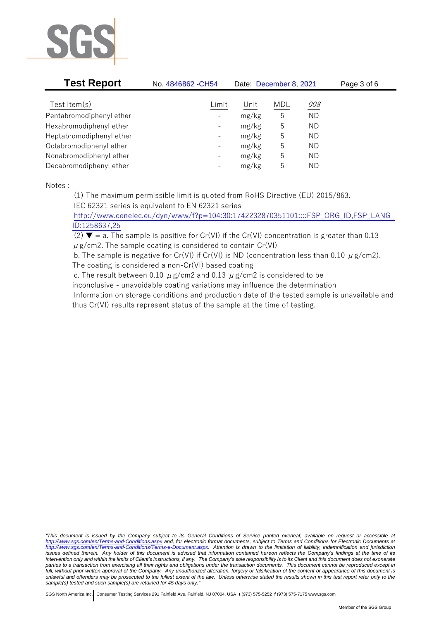

| <b>Test Report</b>       | No. 4846862 - CH54       | Date: December 8, 2021 |     |           | Page 3 of 6 |
|--------------------------|--------------------------|------------------------|-----|-----------|-------------|
| Test Item $(s)$          | Limit                    | Unit                   | MDL | 008       |             |
| Pentabromodiphenyl ether | $\overline{\phantom{a}}$ | mg/kg                  | 5   | <b>ND</b> |             |
| Hexabromodiphenyl ether  | $\overline{\phantom{a}}$ | mg/kg                  | 5   | ND.       |             |
| Heptabromodiphenyl ether | $\overline{\phantom{a}}$ | mg/kg                  | 5   | <b>ND</b> |             |
| Octabromodiphenyl ether  | $\overline{\phantom{a}}$ | mg/kg                  | 5   | <b>ND</b> |             |
| Nonabromodiphenyl ether  | $\overline{\phantom{a}}$ | mg/kg                  | 5   | <b>ND</b> |             |
| Decabromodiphenyl ether  | $\overline{\phantom{a}}$ | mg/kg                  | 5   | ND.       |             |

Notes :

(1) The maximum permissible limit is quoted from RoHS Directive (EU) 2015/863.

IEC 62321 series is equivalent to EN 62321 series

[http://www.cenelec.eu/dyn/www/f?p=104:30:1742232870351101::::FSP\\_ORG\\_ID,FSP\\_LANG\\_](http://www.cenelec.eu/dyn/www/f?p=104:30:1742232870351101::::FSP_ORG_ID,FSP_LANG_ID:1258637,25) [ID:1258637,25](http://www.cenelec.eu/dyn/www/f?p=104:30:1742232870351101::::FSP_ORG_ID,FSP_LANG_ID:1258637,25)

(2)  $\blacktriangledown$  = a. The sample is positive for Cr(VI) if the Cr(VI) concentration is greater than 0.13  $\mu$  g/cm2. The sample coating is considered to contain Cr(VI)

b. The sample is negative for Cr(VI) if Cr(VI) is ND (concentration less than 0.10  $\mu$  g/cm2). The coating is considered a non-Cr(VI) based coating

c. The result between 0.10  $\mu$  g/cm2 and 0.13  $\mu$  g/cm2 is considered to be

inconclusive - unavoidable coating variations may influence the determination

Information on storage conditions and production date of the tested sample is unavailable and thus Cr(VI) results represent status of the sample at the time of testing.

*"This document is issued by the Company subject to its General Conditions of Service printed overleaf, available on request or accessible at <http://www.sgs.com/en/Terms-and-Conditions.aspx> and, for electronic format documents, subject to Terms and Conditions for Electronic Documents at [http://www.sgs.com/en/Terms-and-Conditions/Terms-e-Document.aspx.](http://www.sgs.com/en/Terms-and-Conditions/Terms-e-Document.aspx) Attention is drawn to the limitation of liability, indemnification and jurisdiction issues defined therein. Any holder of this document is advised that information contained hereon reflects the Company's findings at the time of its intervention only and within the limits of Client's instructions, if any. The Company's sole responsibility is to its Client and this document does not exonerate parties to a transaction from exercising all their rights and obligations under the transaction documents. This document cannot be reproduced except in full, without prior written approval of the Company. Any unauthorized alteration, forgery or falsification of the content or appearance of this document is unlawful and offenders may be prosecuted to the fullest extent of the law. Unless otherwise stated the results shown in this test report refer only to the sample(s) tested and such sample(s) are retained for 45 days only."*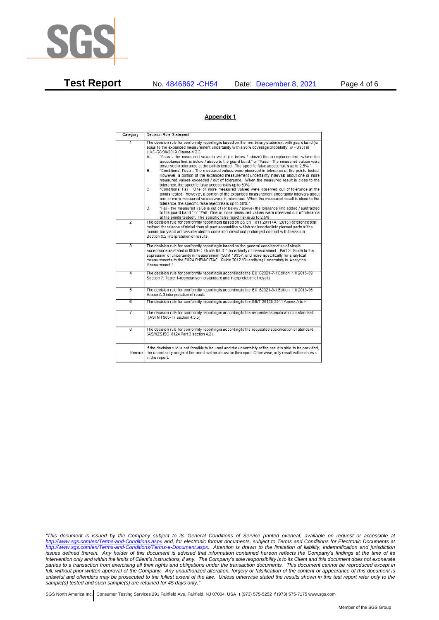

**Test Report** No. 4846862 -CH54 Date: December 8, 2021 Page 4 of 6

## Appendix 1

| Category       | Decision Rule Statement                                                                                                                                                                                                                                                                                                                                                                                                                                                                                                                                                                                                                                                                                                                                                                                                                                                                                                                                                                                                                                                                                                                                                                                                                                                                                                                                                                                                                                                                                            |
|----------------|--------------------------------------------------------------------------------------------------------------------------------------------------------------------------------------------------------------------------------------------------------------------------------------------------------------------------------------------------------------------------------------------------------------------------------------------------------------------------------------------------------------------------------------------------------------------------------------------------------------------------------------------------------------------------------------------------------------------------------------------------------------------------------------------------------------------------------------------------------------------------------------------------------------------------------------------------------------------------------------------------------------------------------------------------------------------------------------------------------------------------------------------------------------------------------------------------------------------------------------------------------------------------------------------------------------------------------------------------------------------------------------------------------------------------------------------------------------------------------------------------------------------|
| $\overline{1}$ | The decision rule for conformity reporting is based on the non-binary statement with quard band (is<br>equal to the expanded measurement uncertainty with a 95% coverage probability, w = U95) in<br>ILAC-G8:09/2019 Clause 4.2.3.<br>"Pass - the measured value is within (or below / above) the acceptance limit, where the<br>А.<br>acceptance limit is below / above to the quard band." or "Pass - The measured values were<br>observed in tolerance at the points tested. The specific false accept risk is up to 2.5%.".<br>"Conditional Pass - The measured values were observed in tolerance at the points tested.<br>В.<br>However, a portion of the expanded measurement uncertainty intervals about one or more<br>measured values exceeded / out of tolerance. When the measured result is close to the<br>tolerance, the specific false accept risk is up to 50%.".<br>C.<br>"Conditional Fail - One or more measured values were observed out of tolerance at the<br>points tested. However, a portion of the expanded measurement uncertainty intervals about<br>one or more measured values were in tolerance. When the measured result is close to the<br>tolerance, the specific false reject risk is up to 50%.".<br>"Fail - the measured value is out of (or below / above) the tolerance limit added / subtracted<br>D.<br>to the quard band." or "Fail - One or more measured values were observed out of tolerance<br>at the points tested". The specific false reject risk is up to 2.5%. |
| $\overline{2}$ | The decision rule for conformity reporting is based on BS EN 1811:2011+A1:2015: Reference test<br>method for release of nickel from all post assemblies which are inserted into pierced parts of the<br>human body and articles intended to come into direct and prolonged contact with the skin in<br>Section 9.2 interpretation of results.                                                                                                                                                                                                                                                                                                                                                                                                                                                                                                                                                                                                                                                                                                                                                                                                                                                                                                                                                                                                                                                                                                                                                                      |
| $\overline{3}$ | The decision rule for conformity reporting is based on the general consideration of simple<br>acceptance as stated in ISO/IEC Guide 98-3: "Uncertainty of measurement - Part 3: Guide to the<br>expression of uncertainty in measurement (GUM 1995)", and more specifically for analytical<br>measurements to the EURACHEM/CITAC Guide 2012 "Quantifying Uncertainty in Analytical<br>Measurement *                                                                                                                                                                                                                                                                                                                                                                                                                                                                                                                                                                                                                                                                                                                                                                                                                                                                                                                                                                                                                                                                                                                |
| 4              | The decision rule for conformity reporting is according to the IEC 62321-7-1 Edition 1.0 2015-09<br>Section 7: Table 1-(comparison to standard and interpretation of result)                                                                                                                                                                                                                                                                                                                                                                                                                                                                                                                                                                                                                                                                                                                                                                                                                                                                                                                                                                                                                                                                                                                                                                                                                                                                                                                                       |
| $\overline{5}$ | The decision rule for conformity reporting is according to the IEC 62321-3-1 Edition 1.0 2013-06<br>Annex A.3 interpretation of result.                                                                                                                                                                                                                                                                                                                                                                                                                                                                                                                                                                                                                                                                                                                                                                                                                                                                                                                                                                                                                                                                                                                                                                                                                                                                                                                                                                            |
| $\overline{6}$ | The decision rule for conformity reporting is according to the GB/T 26125-2011 Annex A to H                                                                                                                                                                                                                                                                                                                                                                                                                                                                                                                                                                                                                                                                                                                                                                                                                                                                                                                                                                                                                                                                                                                                                                                                                                                                                                                                                                                                                        |
| 7              | The decision rule for conformity reporting is according to the requested specification or standard<br>(ASTM F963-17 section 4.3.5)                                                                                                                                                                                                                                                                                                                                                                                                                                                                                                                                                                                                                                                                                                                                                                                                                                                                                                                                                                                                                                                                                                                                                                                                                                                                                                                                                                                 |
| $\overline{8}$ | The decision rule for conformity reporting is according to the requested specification or standard<br>(AS/NZS ISO 8124 Part 3 section 4.2)                                                                                                                                                                                                                                                                                                                                                                                                                                                                                                                                                                                                                                                                                                                                                                                                                                                                                                                                                                                                                                                                                                                                                                                                                                                                                                                                                                         |
| Remark         | If the decision rule is not feasible to be used and the uncertainty of the result is able to be provided.<br>the uncertainty range of the result will be shown in the report. Otherwise, only result will be shown<br>in the report.                                                                                                                                                                                                                                                                                                                                                                                                                                                                                                                                                                                                                                                                                                                                                                                                                                                                                                                                                                                                                                                                                                                                                                                                                                                                               |

*"This document is issued by the Company subject to its General Conditions of Service printed overleaf, available on request or accessible at <http://www.sgs.com/en/Terms-and-Conditions.aspx> and, for electronic format documents, subject to Terms and Conditions for Electronic Documents at [http://www.sgs.com/en/Terms-and-Conditions/Terms-e-Document.aspx.](http://www.sgs.com/en/Terms-and-Conditions/Terms-e-Document.aspx) Attention is drawn to the limitation of liability, indemnification and jurisdiction issues defined therein. Any holder of this document is advised that information contained hereon reflects the Company's findings at the time of its intervention only and within the limits of Client's instructions, if any. The Company's sole responsibility is to its Client and this document does not exonerate parties to a transaction from exercising all their rights and obligations under the transaction documents. This document cannot be reproduced except in full, without prior written approval of the Company. Any unauthorized alteration, forgery or falsification of the content or appearance of this document is unlawful and offenders may be prosecuted to the fullest extent of the law. Unless otherwise stated the results shown in this test report refer only to the sample(s) tested and such sample(s) are retained for 45 days only."*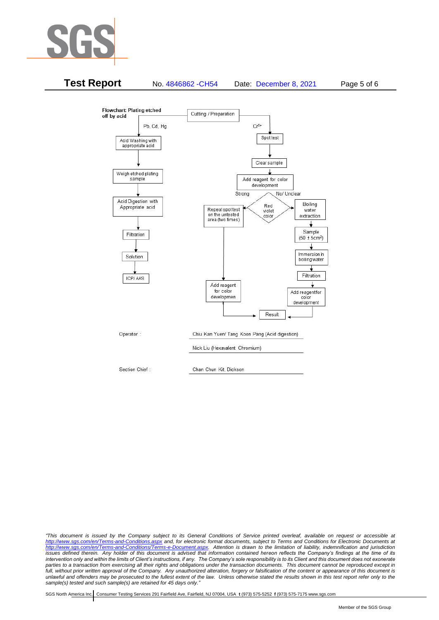



*"This document is issued by the Company subject to its General Conditions of Service printed overleaf, available on request or accessible at <http://www.sgs.com/en/Terms-and-Conditions.aspx> and, for electronic format documents, subject to Terms and Conditions for Electronic Documents at [http://www.sgs.com/en/Terms-and-Conditions/Terms-e-Document.aspx.](http://www.sgs.com/en/Terms-and-Conditions/Terms-e-Document.aspx) Attention is drawn to the limitation of liability, indemnification and jurisdiction issues defined therein. Any holder of this document is advised that information contained hereon reflects the Company's findings at the time of its intervention only and within the limits of Client's instructions, if any. The Company's sole responsibility is to its Client and this document does not exonerate*  parties to a transaction from exercising all their rights and obligations under the transaction documents. This document cannot be reproduced except in *full, without prior written approval of the Company. Any unauthorized alteration, forgery or falsification of the content or appearance of this document is unlawful and offenders may be prosecuted to the fullest extent of the law. Unless otherwise stated the results shown in this test report refer only to the sample(s) tested and such sample(s) are retained for 45 days only."*